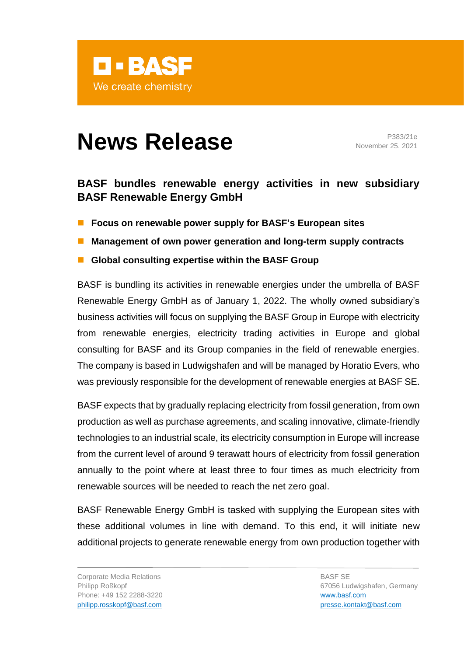

## **News Release** P383/21e

November 25, 2021

## **BASF bundles renewable energy activities in new subsidiary BASF Renewable Energy GmbH**

- Focus on renewable power supply for BASF's European sites
- Management of own power generation and long-term supply contracts
- Global consulting expertise within the BASF Group

BASF is bundling its activities in renewable energies under the umbrella of BASF Renewable Energy GmbH as of January 1, 2022. The wholly owned subsidiary's business activities will focus on supplying the BASF Group in Europe with electricity from renewable energies, electricity trading activities in Europe and global consulting for BASF and its Group companies in the field of renewable energies. The company is based in Ludwigshafen and will be managed by Horatio Evers, who was previously responsible for the development of renewable energies at BASF SE.

BASF expects that by gradually replacing electricity from fossil generation, from own production as well as purchase agreements, and scaling innovative, climate-friendly technologies to an industrial scale, its electricity consumption in Europe will increase from the current level of around 9 terawatt hours of electricity from fossil generation annually to the point where at least three to four times as much electricity from renewable sources will be needed to reach the net zero goal.

BASF Renewable Energy GmbH is tasked with supplying the European sites with these additional volumes in line with demand. To this end, it will initiate new additional projects to generate renewable energy from own production together with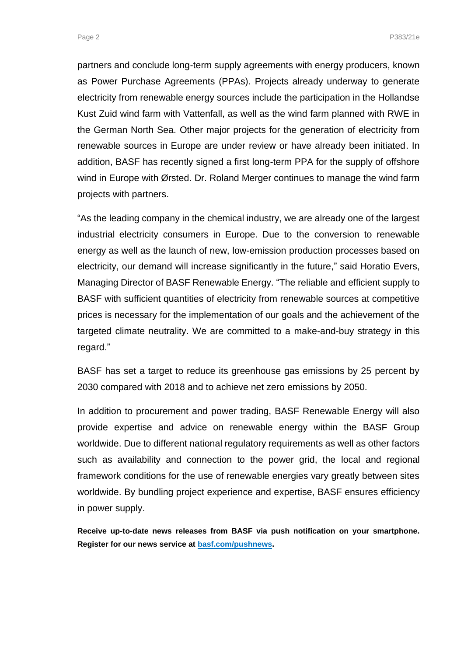Page 2 Page 2 Page 2 Page 2 Page 2 Page 2 Page 2 Page 2 Page 2 Page 2 Page 2 Page 2 Page 2 Page 2 Page 2 Page 2

partners and conclude long-term supply agreements with energy producers, known as Power Purchase Agreements (PPAs). Projects already underway to generate electricity from renewable energy sources include the participation in the Hollandse Kust Zuid wind farm with Vattenfall, as well as the wind farm planned with RWE in the German North Sea. Other major projects for the generation of electricity from renewable sources in Europe are under review or have already been initiated. In addition, BASF has recently signed a first long-term PPA for the supply of offshore wind in Europe with Ørsted. Dr. Roland Merger continues to manage the wind farm projects with partners.

"As the leading company in the chemical industry, we are already one of the largest industrial electricity consumers in Europe. Due to the conversion to renewable energy as well as the launch of new, low-emission production processes based on electricity, our demand will increase significantly in the future," said Horatio Evers, Managing Director of BASF Renewable Energy. "The reliable and efficient supply to BASF with sufficient quantities of electricity from renewable sources at competitive prices is necessary for the implementation of our goals and the achievement of the targeted climate neutrality. We are committed to a make-and-buy strategy in this regard."

BASF has set a target to reduce its greenhouse gas emissions by 25 percent by 2030 compared with 2018 and to achieve net zero emissions by 2050.

In addition to procurement and power trading, BASF Renewable Energy will also provide expertise and advice on renewable energy within the BASF Group worldwide. Due to different national regulatory requirements as well as other factors such as availability and connection to the power grid, the local and regional framework conditions for the use of renewable energies vary greatly between sites worldwide. By bundling project experience and expertise, BASF ensures efficiency in power supply.

**Receive up-to-date news releases from BASF via push notification on your smartphone. Register for our news service at [basf.com/pushnews.](http://www.basf.com/pushnews)**